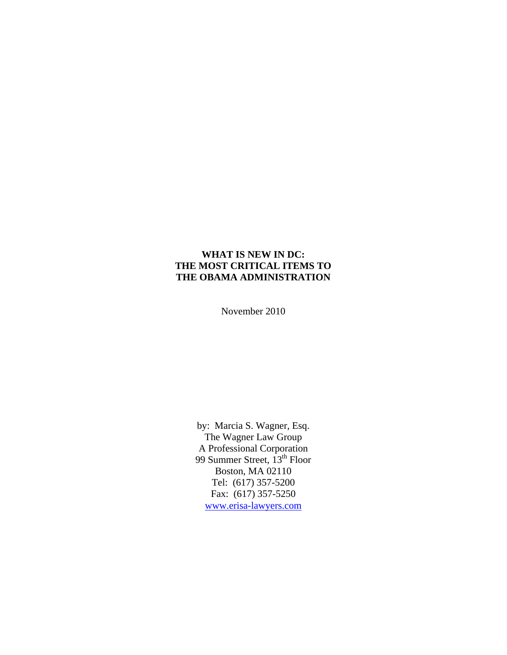#### **WHAT IS NEW IN DC: THE MOST CRITICAL ITEMS TO THE OBAMA ADMINISTRATION**

November 2010

by: Marcia S. Wagner, Esq. The Wagner Law Group A Professional Corporation 99 Summer Street, 13<sup>th</sup> Floor Boston, MA 02110 Tel: (617) 357-5200 Fax: (617) 357-5250 [www.erisa-lawyers.com](http://www.erisa-lawyers.com/)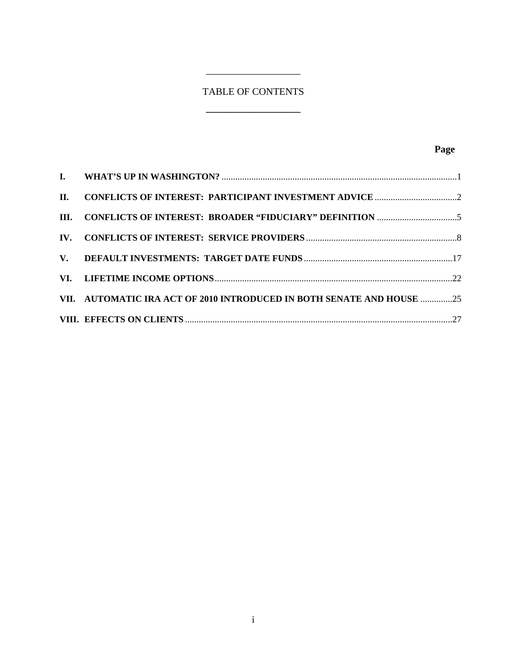# TABLE OF CONTENTS

**\_\_\_\_\_\_\_\_\_\_\_\_\_\_\_\_\_\_\_** 

 $\frac{1}{2}$  , and the set of the set of the set of the set of the set of the set of the set of the set of the set of the set of the set of the set of the set of the set of the set of the set of the set of the set of the set

| VII. AUTOMATIC IRA ACT OF 2010 INTRODUCED IN BOTH SENATE AND HOUSE 25 |  |
|-----------------------------------------------------------------------|--|
|                                                                       |  |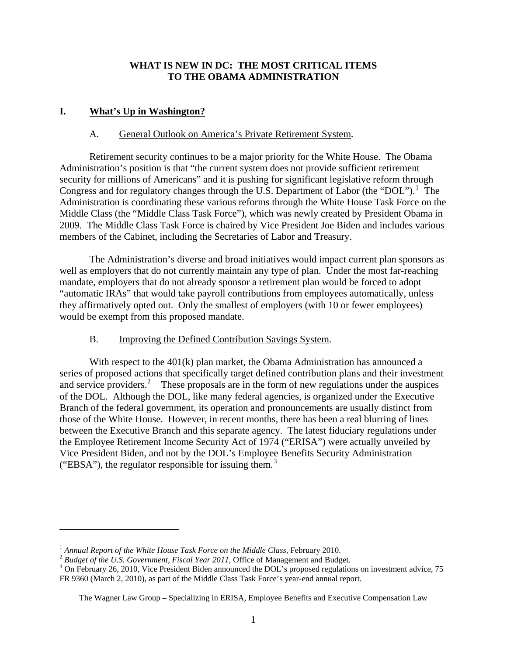### **WHAT IS NEW IN DC: THE MOST CRITICAL ITEMS TO THE OBAMA ADMINISTRATION**

### <span id="page-2-0"></span>**I. What's Up in Washington?**

#### A. General Outlook on America's Private Retirement System.

Retirement security continues to be a major priority for the White House. The Obama Administration's position is that "the current system does not provide sufficient retirement security for millions of Americans" and it is pushing for significant legislative reform through Congress and for regulatory changes through the U.S. Department of Labor (the "DOL").<sup>[1](#page-2-1)</sup> The Administration is coordinating these various reforms through the White House Task Force on the Middle Class (the "Middle Class Task Force"), which was newly created by President Obama in 2009. The Middle Class Task Force is chaired by Vice President Joe Biden and includes various members of the Cabinet, including the Secretaries of Labor and Treasury.

The Administration's diverse and broad initiatives would impact current plan sponsors as well as employers that do not currently maintain any type of plan. Under the most far-reaching mandate, employers that do not already sponsor a retirement plan would be forced to adopt "automatic IRAs" that would take payroll contributions from employees automatically, unless they affirmatively opted out. Only the smallest of employers (with 10 or fewer employees) would be exempt from this proposed mandate.

### B. Improving the Defined Contribution Savings System.

With respect to the 401(k) plan market, the Obama Administration has announced a series of proposed actions that specifically target defined contribution plans and their investment and service providers.<sup>[2](#page-2-2)</sup> These proposals are in the form of new regulations under the auspices of the DOL. Although the DOL, like many federal agencies, is organized under the Executive Branch of the federal government, its operation and pronouncements are usually distinct from those of the White House. However, in recent months, there has been a real blurring of lines between the Executive Branch and this separate agency. The latest fiduciary regulations under the Employee Retirement Income Security Act of 1974 ("ERISA") were actually unveiled by Vice President Biden, and not by the DOL's Employee Benefits Security Administration ("EBSA"), the regulator responsible for issuing them. $3$ 

<span id="page-2-2"></span><span id="page-2-1"></span><sup>&</sup>lt;sup>1</sup> Annual Report of the White House Task Force on the Middle Class, February 2010.<br><sup>2</sup> Budget of the U.S. Government, Fiscal Year 2011, Office of Management and Budget.

<span id="page-2-3"></span><sup>&</sup>lt;sup>3</sup> On February 26, 2010, Vice President Biden announced the DOL's proposed regulations on investment advice, 75 FR 9360 (March 2, 2010), as part of the Middle Class Task Force's year-end annual report.

The Wagner Law Group – Specializing in ERISA, Employee Benefits and Executive Compensation Law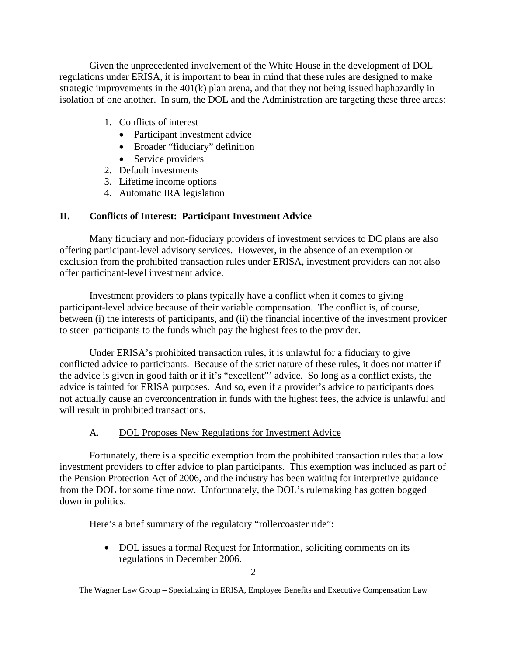<span id="page-3-0"></span> Given the unprecedented involvement of the White House in the development of DOL regulations under ERISA, it is important to bear in mind that these rules are designed to make strategic improvements in the 401(k) plan arena, and that they not being issued haphazardly in isolation of one another. In sum, the DOL and the Administration are targeting these three areas:

- 1. Conflicts of interest
	- Participant investment advice
	- Broader "fiduciary" definition
	- Service providers
- 2. Default investments
- 3. Lifetime income options
- 4. Automatic IRA legislation

## **II. Conflicts of Interest: Participant Investment Advice**

Many fiduciary and non-fiduciary providers of investment services to DC plans are also offering participant-level advisory services. However, in the absence of an exemption or exclusion from the prohibited transaction rules under ERISA, investment providers can not also offer participant-level investment advice.

 Investment providers to plans typically have a conflict when it comes to giving participant-level advice because of their variable compensation. The conflict is, of course, between (i) the interests of participants, and (ii) the financial incentive of the investment provider to steer participants to the funds which pay the highest fees to the provider.

Under ERISA's prohibited transaction rules, it is unlawful for a fiduciary to give conflicted advice to participants. Because of the strict nature of these rules, it does not matter if the advice is given in good faith or if it's "excellent"' advice. So long as a conflict exists, the advice is tainted for ERISA purposes. And so, even if a provider's advice to participants does not actually cause an overconcentration in funds with the highest fees, the advice is unlawful and will result in prohibited transactions.

## A. DOL Proposes New Regulations for Investment Advice

Fortunately, there is a specific exemption from the prohibited transaction rules that allow investment providers to offer advice to plan participants. This exemption was included as part of the Pension Protection Act of 2006, and the industry has been waiting for interpretive guidance from the DOL for some time now. Unfortunately, the DOL's rulemaking has gotten bogged down in politics.

Here's a brief summary of the regulatory "rollercoaster ride":

• DOL issues a formal Request for Information, soliciting comments on its regulations in December 2006.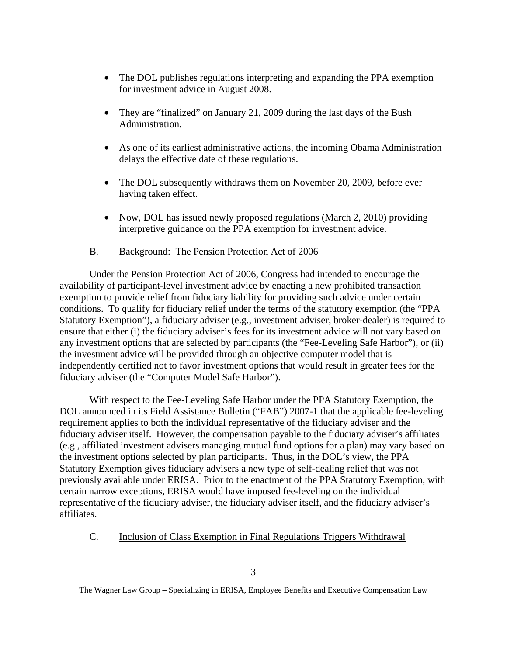- The DOL publishes regulations interpreting and expanding the PPA exemption for investment advice in August 2008.
- They are "finalized" on January 21, 2009 during the last days of the Bush Administration.
- As one of its earliest administrative actions, the incoming Obama Administration delays the effective date of these regulations.
- The DOL subsequently withdraws them on November 20, 2009, before ever having taken effect.
- Now, DOL has issued newly proposed regulations (March 2, 2010) providing interpretive guidance on the PPA exemption for investment advice.

### B. Background: The Pension Protection Act of 2006

Under the Pension Protection Act of 2006, Congress had intended to encourage the availability of participant-level investment advice by enacting a new prohibited transaction exemption to provide relief from fiduciary liability for providing such advice under certain conditions. To qualify for fiduciary relief under the terms of the statutory exemption (the "PPA Statutory Exemption"), a fiduciary adviser (e.g., investment adviser, broker-dealer) is required to ensure that either (i) the fiduciary adviser's fees for its investment advice will not vary based on any investment options that are selected by participants (the "Fee-Leveling Safe Harbor"), or (ii) the investment advice will be provided through an objective computer model that is independently certified not to favor investment options that would result in greater fees for the fiduciary adviser (the "Computer Model Safe Harbor").

With respect to the Fee-Leveling Safe Harbor under the PPA Statutory Exemption, the DOL announced in its Field Assistance Bulletin ("FAB") 2007-1 that the applicable fee-leveling requirement applies to both the individual representative of the fiduciary adviser and the fiduciary adviser itself. However, the compensation payable to the fiduciary adviser's affiliates (e.g., affiliated investment advisers managing mutual fund options for a plan) may vary based on the investment options selected by plan participants. Thus, in the DOL's view, the PPA Statutory Exemption gives fiduciary advisers a new type of self-dealing relief that was not previously available under ERISA. Prior to the enactment of the PPA Statutory Exemption, with certain narrow exceptions, ERISA would have imposed fee-leveling on the individual representative of the fiduciary adviser, the fiduciary adviser itself, and the fiduciary adviser's affiliates.

### C. Inclusion of Class Exemption in Final Regulations Triggers Withdrawal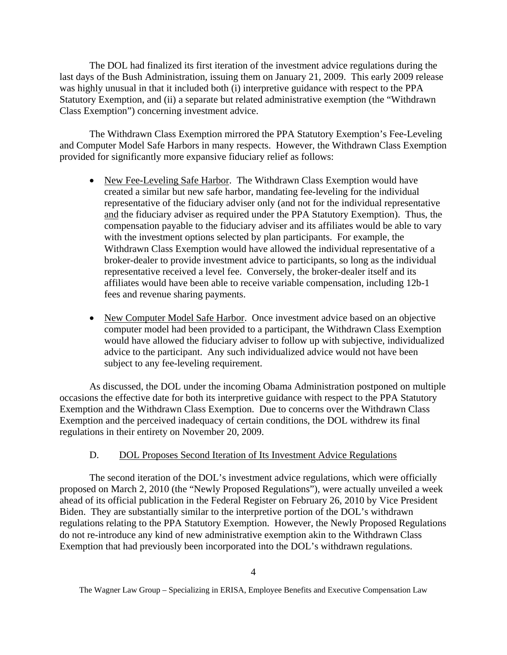The DOL had finalized its first iteration of the investment advice regulations during the last days of the Bush Administration, issuing them on January 21, 2009. This early 2009 release was highly unusual in that it included both (i) interpretive guidance with respect to the PPA Statutory Exemption, and (ii) a separate but related administrative exemption (the "Withdrawn Class Exemption") concerning investment advice.

The Withdrawn Class Exemption mirrored the PPA Statutory Exemption's Fee-Leveling and Computer Model Safe Harbors in many respects. However, the Withdrawn Class Exemption provided for significantly more expansive fiduciary relief as follows:

- New Fee-Leveling Safe Harbor. The Withdrawn Class Exemption would have created a similar but new safe harbor, mandating fee-leveling for the individual representative of the fiduciary adviser only (and not for the individual representative and the fiduciary adviser as required under the PPA Statutory Exemption). Thus, the compensation payable to the fiduciary adviser and its affiliates would be able to vary with the investment options selected by plan participants. For example, the Withdrawn Class Exemption would have allowed the individual representative of a broker-dealer to provide investment advice to participants, so long as the individual representative received a level fee. Conversely, the broker-dealer itself and its affiliates would have been able to receive variable compensation, including 12b-1 fees and revenue sharing payments.
- New Computer Model Safe Harbor. Once investment advice based on an objective computer model had been provided to a participant, the Withdrawn Class Exemption would have allowed the fiduciary adviser to follow up with subjective, individualized advice to the participant. Any such individualized advice would not have been subject to any fee-leveling requirement.

As discussed, the DOL under the incoming Obama Administration postponed on multiple occasions the effective date for both its interpretive guidance with respect to the PPA Statutory Exemption and the Withdrawn Class Exemption. Due to concerns over the Withdrawn Class Exemption and the perceived inadequacy of certain conditions, the DOL withdrew its final regulations in their entirety on November 20, 2009.

### D. DOL Proposes Second Iteration of Its Investment Advice Regulations

The second iteration of the DOL's investment advice regulations, which were officially proposed on March 2, 2010 (the "Newly Proposed Regulations"), were actually unveiled a week ahead of its official publication in the Federal Register on February 26, 2010 by Vice President Biden. They are substantially similar to the interpretive portion of the DOL's withdrawn regulations relating to the PPA Statutory Exemption. However, the Newly Proposed Regulations do not re-introduce any kind of new administrative exemption akin to the Withdrawn Class Exemption that had previously been incorporated into the DOL's withdrawn regulations.

The Wagner Law Group – Specializing in ERISA, Employee Benefits and Executive Compensation Law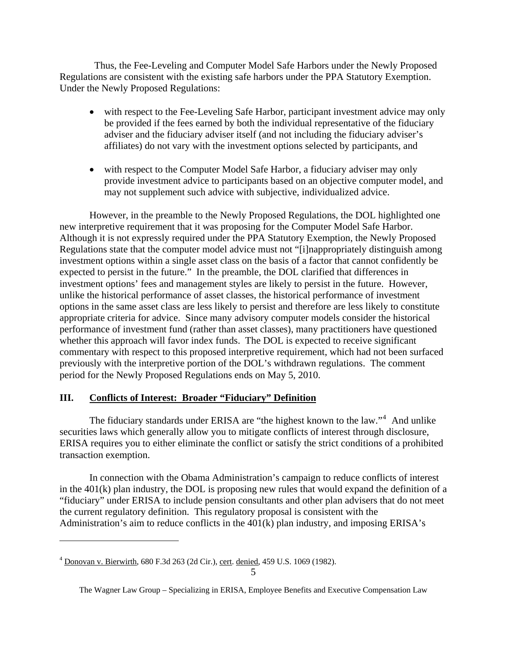<span id="page-6-0"></span> Thus, the Fee-Leveling and Computer Model Safe Harbors under the Newly Proposed Regulations are consistent with the existing safe harbors under the PPA Statutory Exemption. Under the Newly Proposed Regulations:

- with respect to the Fee-Leveling Safe Harbor, participant investment advice may only be provided if the fees earned by both the individual representative of the fiduciary adviser and the fiduciary adviser itself (and not including the fiduciary adviser's affiliates) do not vary with the investment options selected by participants, and
- with respect to the Computer Model Safe Harbor, a fiduciary adviser may only provide investment advice to participants based on an objective computer model, and may not supplement such advice with subjective, individualized advice.

However, in the preamble to the Newly Proposed Regulations, the DOL highlighted one new interpretive requirement that it was proposing for the Computer Model Safe Harbor. Although it is not expressly required under the PPA Statutory Exemption, the Newly Proposed Regulations state that the computer model advice must not "[i]nappropriately distinguish among investment options within a single asset class on the basis of a factor that cannot confidently be expected to persist in the future." In the preamble, the DOL clarified that differences in investment options' fees and management styles are likely to persist in the future. However, unlike the historical performance of asset classes, the historical performance of investment options in the same asset class are less likely to persist and therefore are less likely to constitute appropriate criteria for advice. Since many advisory computer models consider the historical performance of investment fund (rather than asset classes), many practitioners have questioned whether this approach will favor index funds. The DOL is expected to receive significant commentary with respect to this proposed interpretive requirement, which had not been surfaced previously with the interpretive portion of the DOL's withdrawn regulations. The comment period for the Newly Proposed Regulations ends on May 5, 2010.

## **III.** Conflicts of Interest: Broader "Fiduciary" Definition

The fiduciary standards under ERISA are "the highest known to the law."<sup>[4](#page-6-1)</sup> And unlike securities laws which generally allow you to mitigate conflicts of interest through disclosure, ERISA requires you to either eliminate the conflict or satisfy the strict conditions of a prohibited transaction exemption.

In connection with the Obama Administration's campaign to reduce conflicts of interest in the 401(k) plan industry, the DOL is proposing new rules that would expand the definition of a "fiduciary" under ERISA to include pension consultants and other plan advisers that do not meet the current regulatory definition. This regulatory proposal is consistent with the Administration's aim to reduce conflicts in the 401(k) plan industry, and imposing ERISA's

<span id="page-6-1"></span><sup>4</sup> Donovan v. Bierwirth, 680 F.3d 263 (2d Cir.), cert. denied, 459 U.S. 1069 (1982).

The Wagner Law Group – Specializing in ERISA, Employee Benefits and Executive Compensation Law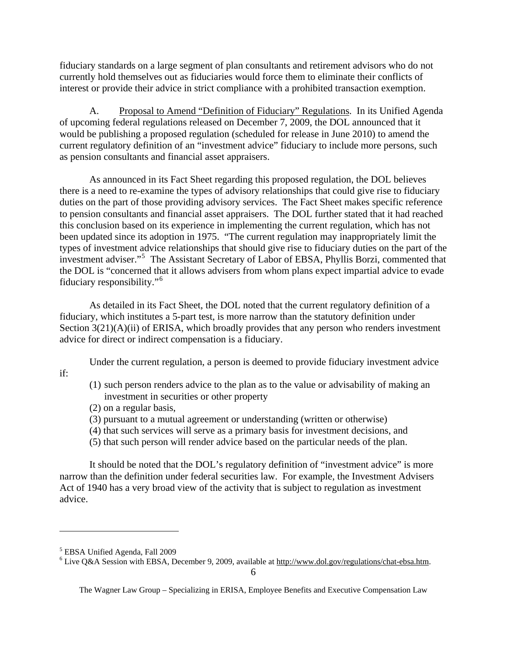fiduciary standards on a large segment of plan consultants and retirement advisors who do not currently hold themselves out as fiduciaries would force them to eliminate their conflicts of interest or provide their advice in strict compliance with a prohibited transaction exemption.

A. Proposal to Amend "Definition of Fiduciary" Regulations. In its Unified Agenda of upcoming federal regulations released on December 7, 2009, the DOL announced that it would be publishing a proposed regulation (scheduled for release in June 2010) to amend the current regulatory definition of an "investment advice" fiduciary to include more persons, such as pension consultants and financial asset appraisers.

As announced in its Fact Sheet regarding this proposed regulation, the DOL believes there is a need to re-examine the types of advisory relationships that could give rise to fiduciary duties on the part of those providing advisory services. The Fact Sheet makes specific reference to pension consultants and financial asset appraisers. The DOL further stated that it had reached this conclusion based on its experience in implementing the current regulation, which has not been updated since its adoption in 1975. "The current regulation may inappropriately limit the types of investment advice relationships that should give rise to fiduciary duties on the part of the investment adviser."[5](#page-7-0) The Assistant Secretary of Labor of EBSA, Phyllis Borzi, commented that the DOL is "concerned that it allows advisers from whom plans expect impartial advice to evade fiduciary responsibility."[6](#page-7-1)

As detailed in its Fact Sheet, the DOL noted that the current regulatory definition of a fiduciary, which institutes a 5-part test, is more narrow than the statutory definition under Section  $3(21)(A)(ii)$  of ERISA, which broadly provides that any person who renders investment advice for direct or indirect compensation is a fiduciary.

Under the current regulation, a person is deemed to provide fiduciary investment advice

if:

 $\overline{a}$ 

- (1) such person renders advice to the plan as to the value or advisability of making an investment in securities or other property
- (2) on a regular basis,
- (3) pursuant to a mutual agreement or understanding (written or otherwise)
- (4) that such services will serve as a primary basis for investment decisions, and
- (5) that such person will render advice based on the particular needs of the plan.

It should be noted that the DOL's regulatory definition of "investment advice" is more narrow than the definition under federal securities law. For example, the Investment Advisers Act of 1940 has a very broad view of the activity that is subject to regulation as investment advice.

<span id="page-7-0"></span><sup>&</sup>lt;sup>5</sup> EBSA Unified Agenda, Fall 2009

<span id="page-7-1"></span> $6$  Live Q&A Session with EBSA, December 9, 2009, available at http://www.dol.gov/regulations/chat-ebsa.htm.

The Wagner Law Group – Specializing in ERISA, Employee Benefits and Executive Compensation Law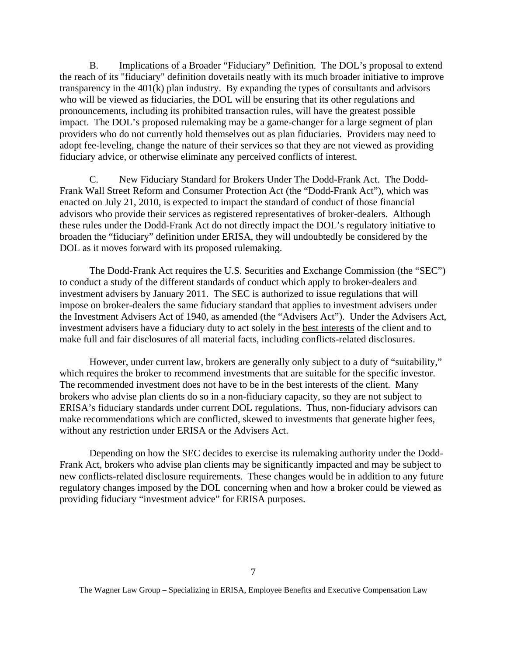B. Implications of a Broader "Fiduciary" Definition. The DOL's proposal to extend the reach of its "fiduciary" definition dovetails neatly with its much broader initiative to improve transparency in the 401(k) plan industry. By expanding the types of consultants and advisors who will be viewed as fiduciaries, the DOL will be ensuring that its other regulations and pronouncements, including its prohibited transaction rules, will have the greatest possible impact. The DOL's proposed rulemaking may be a game-changer for a large segment of plan providers who do not currently hold themselves out as plan fiduciaries. Providers may need to adopt fee-leveling, change the nature of their services so that they are not viewed as providing fiduciary advice, or otherwise eliminate any perceived conflicts of interest.

C. New Fiduciary Standard for Brokers Under The Dodd-Frank Act. The Dodd-Frank Wall Street Reform and Consumer Protection Act (the "Dodd-Frank Act"), which was enacted on July 21, 2010, is expected to impact the standard of conduct of those financial advisors who provide their services as registered representatives of broker-dealers. Although these rules under the Dodd-Frank Act do not directly impact the DOL's regulatory initiative to broaden the "fiduciary" definition under ERISA, they will undoubtedly be considered by the DOL as it moves forward with its proposed rulemaking.

The Dodd-Frank Act requires the U.S. Securities and Exchange Commission (the "SEC") to conduct a study of the different standards of conduct which apply to broker-dealers and investment advisers by January 2011. The SEC is authorized to issue regulations that will impose on broker-dealers the same fiduciary standard that applies to investment advisers under the Investment Advisers Act of 1940, as amended (the "Advisers Act"). Under the Advisers Act, investment advisers have a fiduciary duty to act solely in the best interests of the client and to make full and fair disclosures of all material facts, including conflicts-related disclosures.

However, under current law, brokers are generally only subject to a duty of "suitability," which requires the broker to recommend investments that are suitable for the specific investor. The recommended investment does not have to be in the best interests of the client. Many brokers who advise plan clients do so in a non-fiduciary capacity, so they are not subject to ERISA's fiduciary standards under current DOL regulations. Thus, non-fiduciary advisors can make recommendations which are conflicted, skewed to investments that generate higher fees, without any restriction under ERISA or the Advisers Act.

Depending on how the SEC decides to exercise its rulemaking authority under the Dodd-Frank Act, brokers who advise plan clients may be significantly impacted and may be subject to new conflicts-related disclosure requirements. These changes would be in addition to any future regulatory changes imposed by the DOL concerning when and how a broker could be viewed as providing fiduciary "investment advice" for ERISA purposes.

The Wagner Law Group – Specializing in ERISA, Employee Benefits and Executive Compensation Law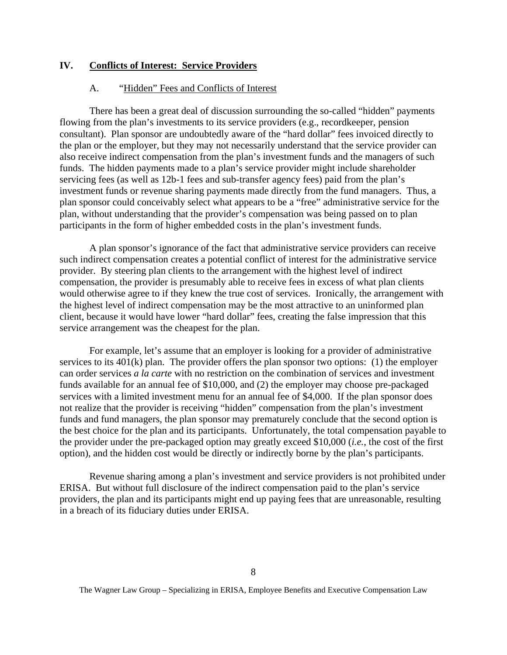#### <span id="page-9-0"></span>**IV.** Conflicts of Interest: Service Providers

#### A. "Hidden" Fees and Conflicts of Interest

There has been a great deal of discussion surrounding the so-called "hidden" payments flowing from the plan's investments to its service providers (e.g., recordkeeper, pension consultant). Plan sponsor are undoubtedly aware of the "hard dollar" fees invoiced directly to the plan or the employer, but they may not necessarily understand that the service provider can also receive indirect compensation from the plan's investment funds and the managers of such funds. The hidden payments made to a plan's service provider might include shareholder servicing fees (as well as 12b-1 fees and sub-transfer agency fees) paid from the plan's investment funds or revenue sharing payments made directly from the fund managers. Thus, a plan sponsor could conceivably select what appears to be a "free" administrative service for the plan, without understanding that the provider's compensation was being passed on to plan participants in the form of higher embedded costs in the plan's investment funds.

A plan sponsor's ignorance of the fact that administrative service providers can receive such indirect compensation creates a potential conflict of interest for the administrative service provider. By steering plan clients to the arrangement with the highest level of indirect compensation, the provider is presumably able to receive fees in excess of what plan clients would otherwise agree to if they knew the true cost of services. Ironically, the arrangement with the highest level of indirect compensation may be the most attractive to an uninformed plan client, because it would have lower "hard dollar" fees, creating the false impression that this service arrangement was the cheapest for the plan.

For example, let's assume that an employer is looking for a provider of administrative services to its 401(k) plan. The provider offers the plan sponsor two options: (1) the employer can order services *a la carte* with no restriction on the combination of services and investment funds available for an annual fee of \$10,000, and (2) the employer may choose pre-packaged services with a limited investment menu for an annual fee of \$4,000. If the plan sponsor does not realize that the provider is receiving "hidden" compensation from the plan's investment funds and fund managers, the plan sponsor may prematurely conclude that the second option is the best choice for the plan and its participants. Unfortunately, the total compensation payable to the provider under the pre-packaged option may greatly exceed \$10,000 (*i.e.*, the cost of the first option), and the hidden cost would be directly or indirectly borne by the plan's participants.

Revenue sharing among a plan's investment and service providers is not prohibited under ERISA. But without full disclosure of the indirect compensation paid to the plan's service providers, the plan and its participants might end up paying fees that are unreasonable, resulting in a breach of its fiduciary duties under ERISA.

The Wagner Law Group – Specializing in ERISA, Employee Benefits and Executive Compensation Law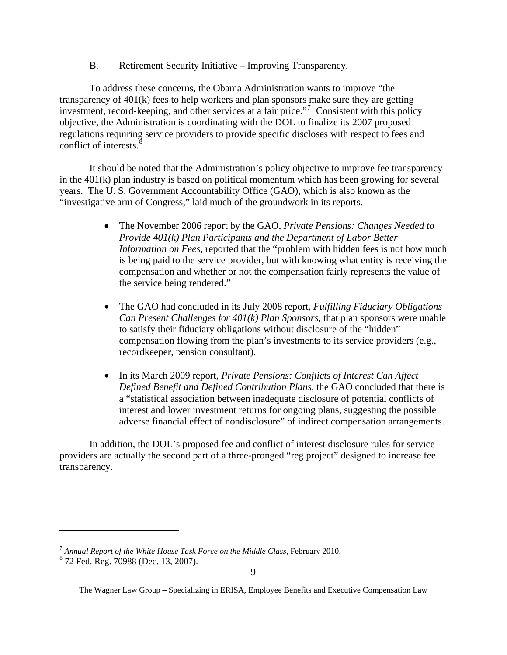B. Retirement Security Initiative – Improving Transparency.

To address these concerns, the Obama Administration wants to improve "the transparency of 401(k) fees to help workers and plan sponsors make sure they are getting investment, record-keeping, and other services at a fair price."[7](#page-10-0) Consistent with this policy objective, the Administration is coordinating with the DOL to finalize its 2007 proposed regulations requiring service providers to provide specific discloses with respect to fees and conflict of interests. $\frac{8}{3}$  $\frac{8}{3}$  $\frac{8}{3}$ 

It should be noted that the Administration's policy objective to improve fee transparency in the 401(k) plan industry is based on political momentum which has been growing for several years. The U. S. Government Accountability Office (GAO), which is also known as the "investigative arm of Congress," laid much of the groundwork in its reports.

- The November 2006 report by the GAO, *Private Pensions: Changes Needed to Provide 401(k) Plan Participants and the Department of Labor Better Information on Fees*, reported that the "problem with hidden fees is not how much is being paid to the service provider, but with knowing what entity is receiving the compensation and whether or not the compensation fairly represents the value of the service being rendered."
- The GAO had concluded in its July 2008 report, *Fulfilling Fiduciary Obligations Can Present Challenges for 401(k) Plan Sponsors*, that plan sponsors were unable to satisfy their fiduciary obligations without disclosure of the "hidden" compensation flowing from the plan's investments to its service providers (e.g., recordkeeper, pension consultant).
- In its March 2009 report, *Private Pensions: Conflicts of Interest Can Affect Defined Benefit and Defined Contribution Plans,* the GAO concluded that there is a "statistical association between inadequate disclosure of potential conflicts of interest and lower investment returns for ongoing plans, suggesting the possible adverse financial effect of nondisclosure" of indirect compensation arrangements.

In addition, the DOL's proposed fee and conflict of interest disclosure rules for service providers are actually the second part of a three-pronged "reg project" designed to increase fee transparency.

<span id="page-10-1"></span><span id="page-10-0"></span><sup>7</sup> *Annual Report of the White House Task Force on the Middle Class*, February 2010.

<sup>8</sup> 72 Fed. Reg. 70988 (Dec. 13, 2007).

The Wagner Law Group – Specializing in ERISA, Employee Benefits and Executive Compensation Law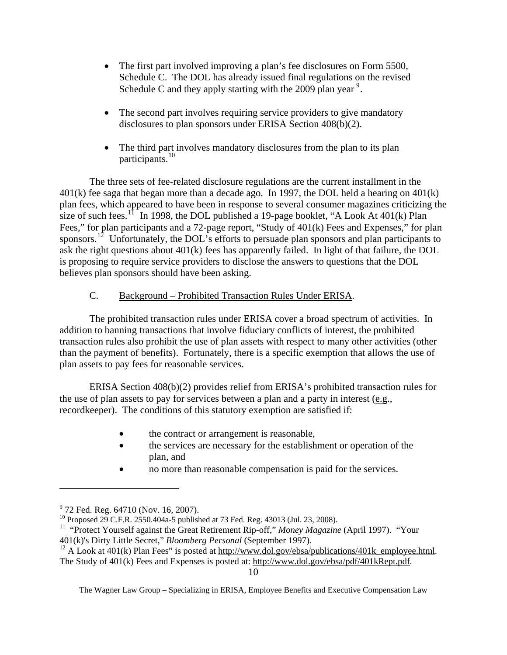- The first part involved improving a plan's fee disclosures on Form 5500, Schedule C. The DOL has already issued final regulations on the revised Schedule C and they apply starting with the 200[9](#page-11-0) plan year<sup>9</sup>.
- The second part involves requiring service providers to give mandatory disclosures to plan sponsors under ERISA Section 408(b)(2).
- The third part involves mandatory disclosures from the plan to its plan participants.<sup>[10](#page-11-1)</sup>

 The three sets of fee-related disclosure regulations are the current installment in the 401(k) fee saga that began more than a decade ago. In 1997, the DOL held a hearing on 401(k) plan fees, which appeared to have been in response to several consumer magazines criticizing the size of such fees.<sup>[11](#page-11-2)</sup> In 1998, the DOL published a 19-page booklet, "A Look At  $401(k)$  Plan Fees," for plan participants and a 72-page report, "Study of 401(k) Fees and Expenses," for plan sponsors.<sup>[12](#page-11-3)</sup> Unfortunately, the DOL's efforts to persuade plan sponsors and plan participants to ask the right questions about 401(k) fees has apparently failed. In light of that failure, the DOL is proposing to require service providers to disclose the answers to questions that the DOL believes plan sponsors should have been asking.

## C. Background – Prohibited Transaction Rules Under ERISA.

The prohibited transaction rules under ERISA cover a broad spectrum of activities. In addition to banning transactions that involve fiduciary conflicts of interest, the prohibited transaction rules also prohibit the use of plan assets with respect to many other activities (other than the payment of benefits). Fortunately, there is a specific exemption that allows the use of plan assets to pay fees for reasonable services.

ERISA Section 408(b)(2) provides relief from ERISA's prohibited transaction rules for the use of plan assets to pay for services between a plan and a party in interest (e.g., recordkeeper). The conditions of this statutory exemption are satisfied if:

- the contract or arrangement is reasonable,
- the services are necessary for the establishment or operation of the plan, and
- no more than reasonable compensation is paid for the services.

<sup>&</sup>lt;sup>9</sup> 72 Fed. Reg. 64710 (Nov. 16, 2007).

<span id="page-11-1"></span><span id="page-11-0"></span><sup>&</sup>lt;sup>10</sup> Proposed 29 C.F.R. 2550.404a-5 published at 73 Fed. Reg. 43013 (Jul. 23, 2008).

<span id="page-11-2"></span><sup>11 &</sup>quot;Protect Yourself against the Great Retirement Rip-off," *Money Magazine* (April 1997). "Your 401(k)'s Dirty Little Secret," *Bloomberg Personal* (September 1997).

<span id="page-11-3"></span> $^{12}$  A Look at 401(k) Plan Fees" is posted at [http://www.dol.gov/ebsa/publications/401k\\_employee.html](http://www.dol.gov/ebsa/publications/401k_employee.html). The Study of 401(k) Fees and Expenses is posted at: http://www.dol.gov/ebsa/pdf/401kRept.pdf.

The Wagner Law Group – Specializing in ERISA, Employee Benefits and Executive Compensation Law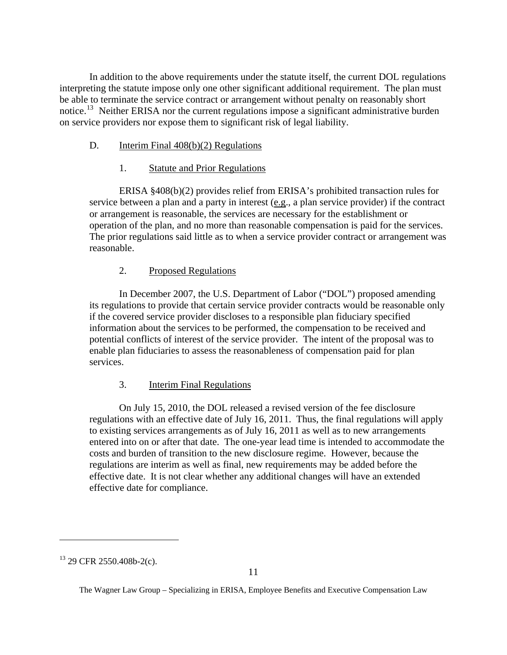In addition to the above requirements under the statute itself, the current DOL regulations interpreting the statute impose only one other significant additional requirement. The plan must be able to terminate the service contract or arrangement without penalty on reasonably short notice.<sup>[13](#page-12-0)</sup> Neither ERISA nor the current regulations impose a significant administrative burden on service providers nor expose them to significant risk of legal liability.

## D. Interim Final 408(b)(2) Regulations

### 1. Statute and Prior Regulations

ERISA §408(b)(2) provides relief from ERISA's prohibited transaction rules for service between a plan and a party in interest (e.g., a plan service provider) if the contract or arrangement is reasonable, the services are necessary for the establishment or operation of the plan, and no more than reasonable compensation is paid for the services. The prior regulations said little as to when a service provider contract or arrangement was reasonable.

### 2. Proposed Regulations

In December 2007, the U.S. Department of Labor ("DOL") proposed amending its regulations to provide that certain service provider contracts would be reasonable only if the covered service provider discloses to a responsible plan fiduciary specified information about the services to be performed, the compensation to be received and potential conflicts of interest of the service provider. The intent of the proposal was to enable plan fiduciaries to assess the reasonableness of compensation paid for plan services.

### 3. Interim Final Regulations

On July 15, 2010, the DOL released a revised version of the fee disclosure regulations with an effective date of July 16, 2011. Thus, the final regulations will apply to existing services arrangements as of July 16, 2011 as well as to new arrangements entered into on or after that date. The one-year lead time is intended to accommodate the costs and burden of transition to the new disclosure regime. However, because the regulations are interim as well as final, new requirements may be added before the effective date. It is not clear whether any additional changes will have an extended effective date for compliance.

<span id="page-12-0"></span> $13$  29 CFR 2550.408b-2(c).

The Wagner Law Group – Specializing in ERISA, Employee Benefits and Executive Compensation Law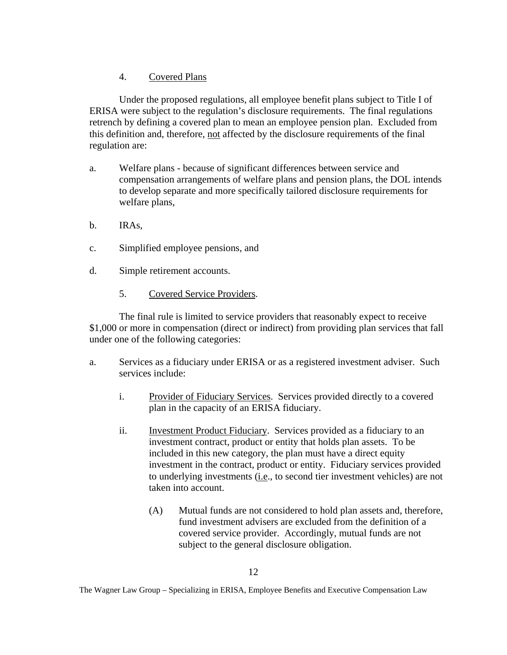## 4. Covered Plans

Under the proposed regulations, all employee benefit plans subject to Title I of ERISA were subject to the regulation's disclosure requirements. The final regulations retrench by defining a covered plan to mean an employee pension plan. Excluded from this definition and, therefore, not affected by the disclosure requirements of the final regulation are:

- a. Welfare plans because of significant differences between service and compensation arrangements of welfare plans and pension plans, the DOL intends to develop separate and more specifically tailored disclosure requirements for welfare plans,
- b. IRAs,
- c. Simplified employee pensions, and
- d. Simple retirement accounts.
	- 5. Covered Service Providers.

The final rule is limited to service providers that reasonably expect to receive \$1,000 or more in compensation (direct or indirect) from providing plan services that fall under one of the following categories:

- a. Services as a fiduciary under ERISA or as a registered investment adviser. Such services include:
	- i. Provider of Fiduciary Services. Services provided directly to a covered plan in the capacity of an ERISA fiduciary.
	- ii. Investment Product Fiduciary. Services provided as a fiduciary to an investment contract, product or entity that holds plan assets. To be included in this new category, the plan must have a direct equity investment in the contract, product or entity. Fiduciary services provided to underlying investments (i.e., to second tier investment vehicles) are not taken into account.
		- (A) Mutual funds are not considered to hold plan assets and, therefore, fund investment advisers are excluded from the definition of a covered service provider. Accordingly, mutual funds are not subject to the general disclosure obligation.

The Wagner Law Group – Specializing in ERISA, Employee Benefits and Executive Compensation Law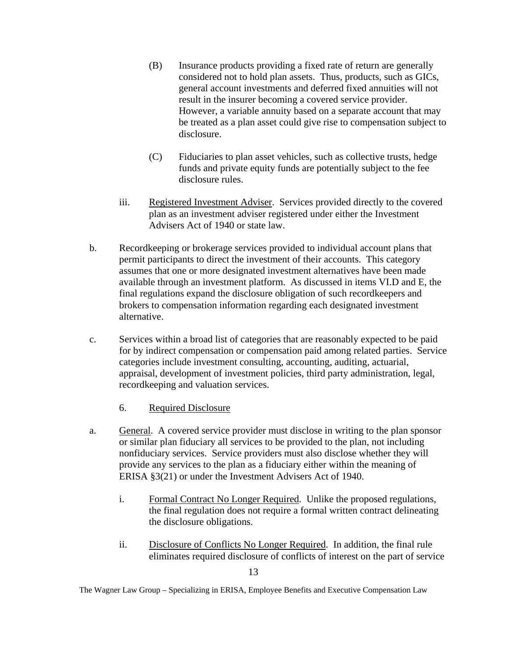- (B) Insurance products providing a fixed rate of return are generally considered not to hold plan assets. Thus, products, such as GICs, general account investments and deferred fixed annuities will not result in the insurer becoming a covered service provider. However, a variable annuity based on a separate account that may be treated as a plan asset could give rise to compensation subject to disclosure.
- (C) Fiduciaries to plan asset vehicles, such as collective trusts, hedge funds and private equity funds are potentially subject to the fee disclosure rules.
- iii. Registered Investment Adviser. Services provided directly to the covered plan as an investment adviser registered under either the Investment Advisers Act of 1940 or state law.
- b. Recordkeeping or brokerage services provided to individual account plans that permit participants to direct the investment of their accounts. This category assumes that one or more designated investment alternatives have been made available through an investment platform. As discussed in items VI.D and E, the final regulations expand the disclosure obligation of such recordkeepers and brokers to compensation information regarding each designated investment alternative.
- c. Services within a broad list of categories that are reasonably expected to be paid for by indirect compensation or compensation paid among related parties. Service categories include investment consulting, accounting, auditing, actuarial, appraisal, development of investment policies, third party administration, legal, recordkeeping and valuation services.
	- 6. Required Disclosure
- a. General. A covered service provider must disclose in writing to the plan sponsor or similar plan fiduciary all services to be provided to the plan, not including nonfiduciary services. Service providers must also disclose whether they will provide any services to the plan as a fiduciary either within the meaning of ERISA §3(21) or under the Investment Advisers Act of 1940.
	- i. Formal Contract No Longer Required. Unlike the proposed regulations, the final regulation does not require a formal written contract delineating the disclosure obligations.
	- ii. Disclosure of Conflicts No Longer Required. In addition, the final rule eliminates required disclosure of conflicts of interest on the part of service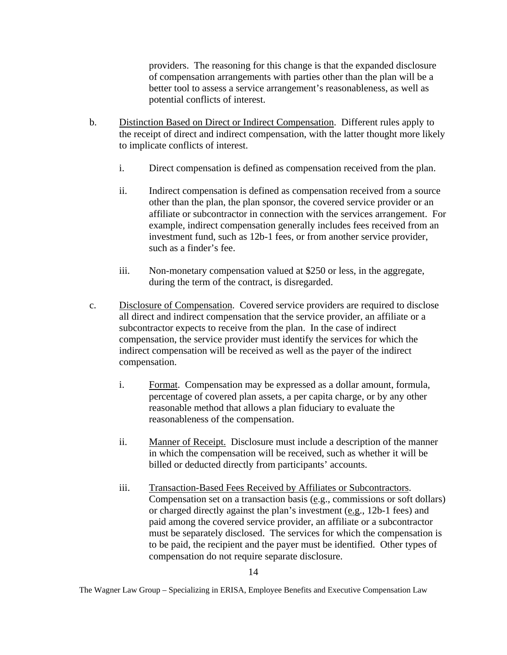providers. The reasoning for this change is that the expanded disclosure of compensation arrangements with parties other than the plan will be a better tool to assess a service arrangement's reasonableness, as well as potential conflicts of interest.

- b. Distinction Based on Direct or Indirect Compensation. Different rules apply to the receipt of direct and indirect compensation, with the latter thought more likely to implicate conflicts of interest.
	- i. Direct compensation is defined as compensation received from the plan.
	- ii. Indirect compensation is defined as compensation received from a source other than the plan, the plan sponsor, the covered service provider or an affiliate or subcontractor in connection with the services arrangement. For example, indirect compensation generally includes fees received from an investment fund, such as 12b-1 fees, or from another service provider, such as a finder's fee.
	- iii. Non-monetary compensation valued at \$250 or less, in the aggregate, during the term of the contract, is disregarded.
- c. Disclosure of Compensation. Covered service providers are required to disclose all direct and indirect compensation that the service provider, an affiliate or a subcontractor expects to receive from the plan. In the case of indirect compensation, the service provider must identify the services for which the indirect compensation will be received as well as the payer of the indirect compensation.
	- i. Format. Compensation may be expressed as a dollar amount, formula, percentage of covered plan assets, a per capita charge, or by any other reasonable method that allows a plan fiduciary to evaluate the reasonableness of the compensation.
	- ii. Manner of Receipt. Disclosure must include a description of the manner in which the compensation will be received, such as whether it will be billed or deducted directly from participants' accounts.
	- iii. Transaction-Based Fees Received by Affiliates or Subcontractors. Compensation set on a transaction basis (e.g., commissions or soft dollars) or charged directly against the plan's investment (e.g., 12b-1 fees) and paid among the covered service provider, an affiliate or a subcontractor must be separately disclosed. The services for which the compensation is to be paid, the recipient and the payer must be identified. Other types of compensation do not require separate disclosure.

The Wagner Law Group – Specializing in ERISA, Employee Benefits and Executive Compensation Law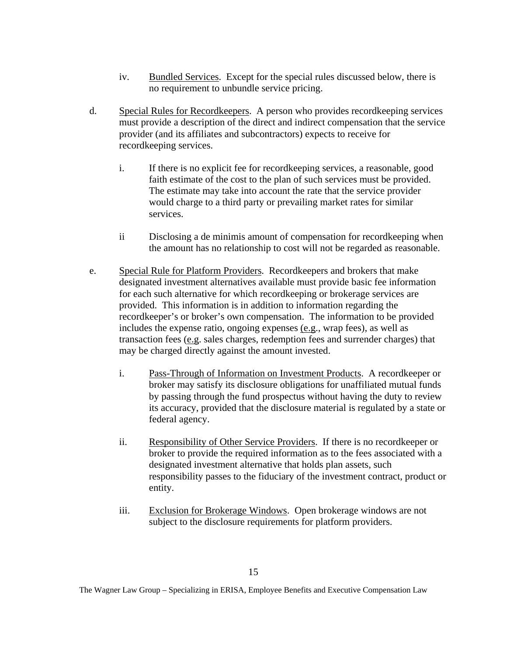- iv. Bundled Services. Except for the special rules discussed below, there is no requirement to unbundle service pricing.
- d. Special Rules for Recordkeepers. A person who provides recordkeeping services must provide a description of the direct and indirect compensation that the service provider (and its affiliates and subcontractors) expects to receive for recordkeeping services.
	- i. If there is no explicit fee for recordkeeping services, a reasonable, good faith estimate of the cost to the plan of such services must be provided. The estimate may take into account the rate that the service provider would charge to a third party or prevailing market rates for similar services.
	- ii Disclosing a de minimis amount of compensation for recordkeeping when the amount has no relationship to cost will not be regarded as reasonable.
- e. Special Rule for Platform Providers. Recordkeepers and brokers that make designated investment alternatives available must provide basic fee information for each such alternative for which recordkeeping or brokerage services are provided. This information is in addition to information regarding the recordkeeper's or broker's own compensation. The information to be provided includes the expense ratio, ongoing expenses (e.g., wrap fees), as well as transaction fees (e.g. sales charges, redemption fees and surrender charges) that may be charged directly against the amount invested.
	- i. Pass-Through of Information on Investment Products. A recordkeeper or broker may satisfy its disclosure obligations for unaffiliated mutual funds by passing through the fund prospectus without having the duty to review its accuracy, provided that the disclosure material is regulated by a state or federal agency.
	- ii. Responsibility of Other Service Providers. If there is no recordkeeper or broker to provide the required information as to the fees associated with a designated investment alternative that holds plan assets, such responsibility passes to the fiduciary of the investment contract, product or entity.
	- iii. Exclusion for Brokerage Windows. Open brokerage windows are not subject to the disclosure requirements for platform providers.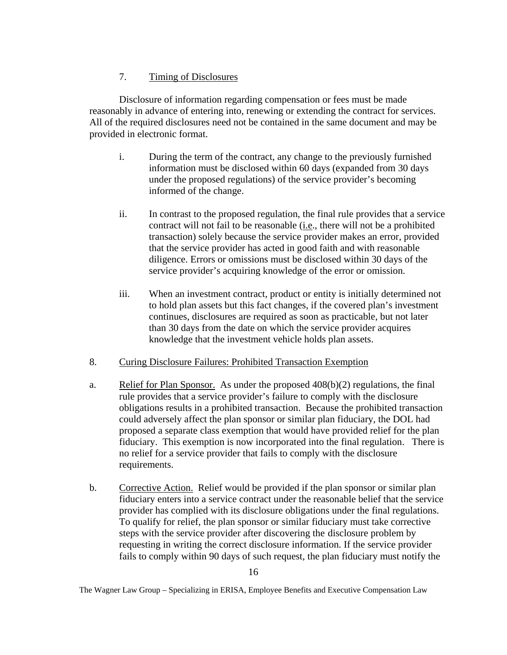## 7. Timing of Disclosures

Disclosure of information regarding compensation or fees must be made reasonably in advance of entering into, renewing or extending the contract for services. All of the required disclosures need not be contained in the same document and may be provided in electronic format.

- i. During the term of the contract, any change to the previously furnished information must be disclosed within 60 days (expanded from 30 days under the proposed regulations) of the service provider's becoming informed of the change.
- ii. In contrast to the proposed regulation, the final rule provides that a service contract will not fail to be reasonable (i.e., there will not be a prohibited transaction) solely because the service provider makes an error, provided that the service provider has acted in good faith and with reasonable diligence. Errors or omissions must be disclosed within 30 days of the service provider's acquiring knowledge of the error or omission.
- iii. When an investment contract, product or entity is initially determined not to hold plan assets but this fact changes, if the covered plan's investment continues, disclosures are required as soon as practicable, but not later than 30 days from the date on which the service provider acquires knowledge that the investment vehicle holds plan assets.
- 8. Curing Disclosure Failures: Prohibited Transaction Exemption
- a. Relief for Plan Sponsor. As under the proposed  $408(b)(2)$  regulations, the final rule provides that a service provider's failure to comply with the disclosure obligations results in a prohibited transaction. Because the prohibited transaction could adversely affect the plan sponsor or similar plan fiduciary, the DOL had proposed a separate class exemption that would have provided relief for the plan fiduciary. This exemption is now incorporated into the final regulation. There is no relief for a service provider that fails to comply with the disclosure requirements.
- b. Corrective Action. Relief would be provided if the plan sponsor or similar plan fiduciary enters into a service contract under the reasonable belief that the service provider has complied with its disclosure obligations under the final regulations. To qualify for relief, the plan sponsor or similar fiduciary must take corrective steps with the service provider after discovering the disclosure problem by requesting in writing the correct disclosure information. If the service provider fails to comply within 90 days of such request, the plan fiduciary must notify the

The Wagner Law Group – Specializing in ERISA, Employee Benefits and Executive Compensation Law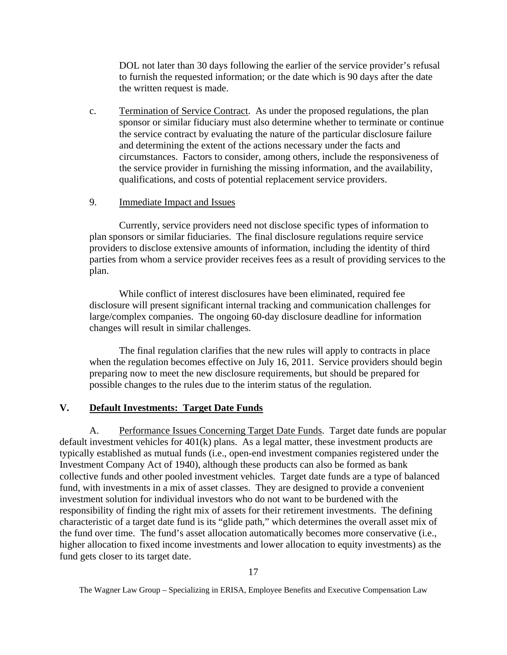<span id="page-18-0"></span>DOL not later than 30 days following the earlier of the service provider's refusal to furnish the requested information; or the date which is 90 days after the date the written request is made.

c. Termination of Service Contract. As under the proposed regulations, the plan sponsor or similar fiduciary must also determine whether to terminate or continue the service contract by evaluating the nature of the particular disclosure failure and determining the extent of the actions necessary under the facts and circumstances. Factors to consider, among others, include the responsiveness of the service provider in furnishing the missing information, and the availability, qualifications, and costs of potential replacement service providers.

### 9. Immediate Impact and Issues

Currently, service providers need not disclose specific types of information to plan sponsors or similar fiduciaries. The final disclosure regulations require service providers to disclose extensive amounts of information, including the identity of third parties from whom a service provider receives fees as a result of providing services to the plan.

While conflict of interest disclosures have been eliminated, required fee disclosure will present significant internal tracking and communication challenges for large/complex companies. The ongoing 60-day disclosure deadline for information changes will result in similar challenges.

The final regulation clarifies that the new rules will apply to contracts in place when the regulation becomes effective on July 16, 2011. Service providers should begin preparing now to meet the new disclosure requirements, but should be prepared for possible changes to the rules due to the interim status of the regulation.

### **V. Default Investments: Target Date Funds**

A. Performance Issues Concerning Target Date Funds. Target date funds are popular default investment vehicles for 401(k) plans. As a legal matter, these investment products are typically established as mutual funds (i.e., open-end investment companies registered under the Investment Company Act of 1940), although these products can also be formed as bank collective funds and other pooled investment vehicles. Target date funds are a type of balanced fund, with investments in a mix of asset classes. They are designed to provide a convenient investment solution for individual investors who do not want to be burdened with the responsibility of finding the right mix of assets for their retirement investments. The defining characteristic of a target date fund is its "glide path," which determines the overall asset mix of the fund over time. The fund's asset allocation automatically becomes more conservative (i.e., higher allocation to fixed income investments and lower allocation to equity investments) as the fund gets closer to its target date.

The Wagner Law Group – Specializing in ERISA, Employee Benefits and Executive Compensation Law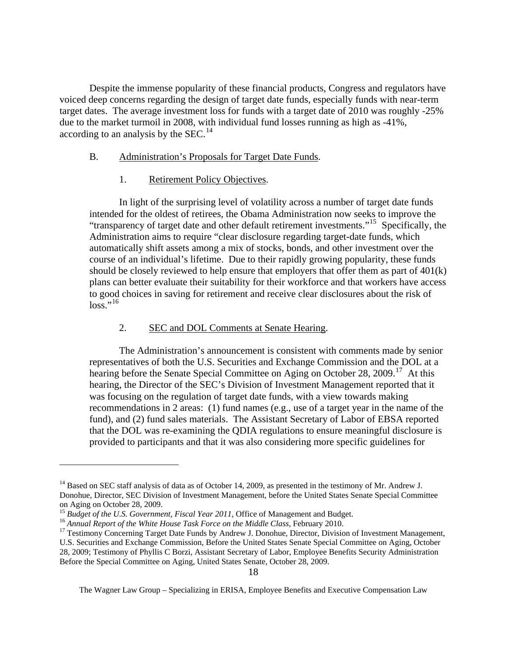Despite the immense popularity of these financial products, Congress and regulators have voiced deep concerns regarding the design of target date funds, especially funds with near-term target dates. The average investment loss for funds with a target date of 2010 was roughly -25% due to the market turmoil in 2008, with individual fund losses running as high as -41%, according to an analysis by the SEC.<sup>[14](#page-19-0)</sup>

#### B. Administration's Proposals for Target Date Funds.

#### 1. Retirement Policy Objectives.

In light of the surprising level of volatility across a number of target date funds intended for the oldest of retirees, the Obama Administration now seeks to improve the "transparency of target date and other default retirement investments."[15](#page-19-1) Specifically, the Administration aims to require "clear disclosure regarding target-date funds, which automatically shift assets among a mix of stocks, bonds, and other investment over the course of an individual's lifetime. Due to their rapidly growing popularity, these funds should be closely reviewed to help ensure that employers that offer them as part of 401(k) plans can better evaluate their suitability for their workforce and that workers have access to good choices in saving for retirement and receive clear disclosures about the risk of  $loss.$ <sup>[16](#page-19-2)</sup>

#### 2. SEC and DOL Comments at Senate Hearing.

The Administration's announcement is consistent with comments made by senior representatives of both the U.S. Securities and Exchange Commission and the DOL at a hearing before the Senate Special Committee on Aging on October 28, 2009.<sup>[17](#page-19-3)</sup> At this hearing, the Director of the SEC's Division of Investment Management reported that it was focusing on the regulation of target date funds, with a view towards making recommendations in 2 areas: (1) fund names (e.g., use of a target year in the name of the fund), and (2) fund sales materials. The Assistant Secretary of Labor of EBSA reported that the DOL was re-examining the QDIA regulations to ensure meaningful disclosure is provided to participants and that it was also considering more specific guidelines for

<span id="page-19-0"></span><sup>&</sup>lt;sup>14</sup> Based on SEC staff analysis of data as of October 14, 2009, as presented in the testimony of Mr. Andrew J. Donohue, Director, SEC Division of Investment Management, before the United States Senate Special Committee on Aging on October 28, 2009.<br><sup>15</sup> Budget of the U.S. Government, Fiscal Year 2011, Office of Management and Budget.

<span id="page-19-3"></span>

<span id="page-19-2"></span><span id="page-19-1"></span><sup>&</sup>lt;sup>16</sup> Annual Report of the White House Task Force on the Middle Class, February 2010.<br><sup>17</sup> Testimony Concerning Target Date Funds by Andrew J. Donohue, Director, Division of Investment Management, U.S. Securities and Exchange Commission, Before the United States Senate Special Committee on Aging, October 28, 2009; Testimony of Phyllis C Borzi, Assistant Secretary of Labor, Employee Benefits Security Administration Before the Special Committee on Aging, United States Senate, October 28, 2009.

The Wagner Law Group – Specializing in ERISA, Employee Benefits and Executive Compensation Law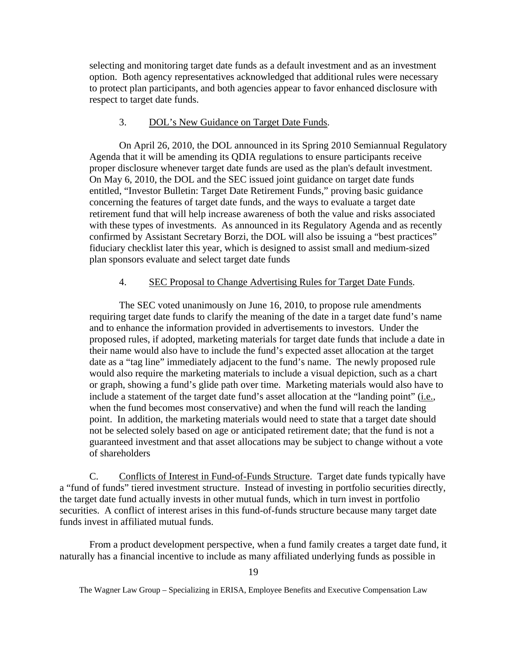selecting and monitoring target date funds as a default investment and as an investment option. Both agency representatives acknowledged that additional rules were necessary to protect plan participants, and both agencies appear to favor enhanced disclosure with respect to target date funds.

#### 3. DOL's New Guidance on Target Date Funds.

On April 26, 2010, the DOL announced in its Spring 2010 Semiannual Regulatory Agenda that it will be amending its QDIA regulations to ensure participants receive proper disclosure whenever target date funds are used as the plan's default investment. On May 6, 2010, the DOL and the SEC issued joint guidance on target date funds entitled, "Investor Bulletin: Target Date Retirement Funds," proving basic guidance concerning the features of target date funds, and the ways to evaluate a target date retirement fund that will help increase awareness of both the value and risks associated with these types of investments. As announced in its Regulatory Agenda and as recently confirmed by Assistant Secretary Borzi, the DOL will also be issuing a "best practices" fiduciary checklist later this year, which is designed to assist small and medium-sized plan sponsors evaluate and select target date funds

#### 4. SEC Proposal to Change Advertising Rules for Target Date Funds.

The SEC voted unanimously on June 16, 2010, to propose rule amendments requiring target date funds to clarify the meaning of the date in a target date fund's name and to enhance the information provided in advertisements to investors. Under the proposed rules, if adopted, marketing materials for target date funds that include a date in their name would also have to include the fund's expected asset allocation at the target date as a "tag line" immediately adjacent to the fund's name. The newly proposed rule would also require the marketing materials to include a visual depiction, such as a chart or graph, showing a fund's glide path over time. Marketing materials would also have to include a statement of the target date fund's asset allocation at the "landing point" (i.e., when the fund becomes most conservative) and when the fund will reach the landing point. In addition, the marketing materials would need to state that a target date should not be selected solely based on age or anticipated retirement date; that the fund is not a guaranteed investment and that asset allocations may be subject to change without a vote of shareholders

C. Conflicts of Interest in Fund-of-Funds Structure. Target date funds typically have a "fund of funds" tiered investment structure. Instead of investing in portfolio securities directly, the target date fund actually invests in other mutual funds, which in turn invest in portfolio securities. A conflict of interest arises in this fund-of-funds structure because many target date funds invest in affiliated mutual funds.

From a product development perspective, when a fund family creates a target date fund, it naturally has a financial incentive to include as many affiliated underlying funds as possible in

The Wagner Law Group – Specializing in ERISA, Employee Benefits and Executive Compensation Law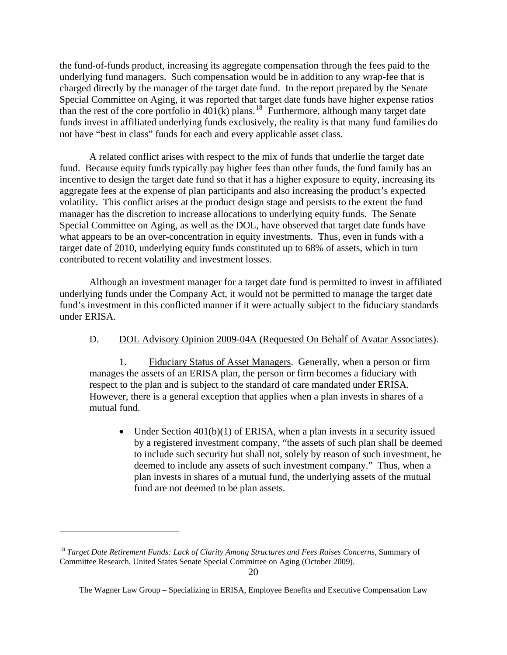the fund-of-funds product, increasing its aggregate compensation through the fees paid to the underlying fund managers. Such compensation would be in addition to any wrap-fee that is charged directly by the manager of the target date fund. In the report prepared by the Senate Special Committee on Aging, it was reported that target date funds have higher expense ratios than the rest of the core portfolio in  $401(k)$  plans.<sup>[18](#page-21-0)</sup> Furthermore, although many target date funds invest in affiliated underlying funds exclusively, the reality is that many fund families do not have "best in class" funds for each and every applicable asset class.

A related conflict arises with respect to the mix of funds that underlie the target date fund. Because equity funds typically pay higher fees than other funds, the fund family has an incentive to design the target date fund so that it has a higher exposure to equity, increasing its aggregate fees at the expense of plan participants and also increasing the product's expected volatility. This conflict arises at the product design stage and persists to the extent the fund manager has the discretion to increase allocations to underlying equity funds. The Senate Special Committee on Aging, as well as the DOL, have observed that target date funds have what appears to be an over-concentration in equity investments. Thus, even in funds with a target date of 2010, underlying equity funds constituted up to 68% of assets, which in turn contributed to recent volatility and investment losses.

Although an investment manager for a target date fund is permitted to invest in affiliated underlying funds under the Company Act, it would not be permitted to manage the target date fund's investment in this conflicted manner if it were actually subject to the fiduciary standards under ERISA.

D. DOL Advisory Opinion 2009-04A (Requested On Behalf of Avatar Associates).

1. Fiduciary Status of Asset Managers. Generally, when a person or firm manages the assets of an ERISA plan, the person or firm becomes a fiduciary with respect to the plan and is subject to the standard of care mandated under ERISA. However, there is a general exception that applies when a plan invests in shares of a mutual fund.

• Under Section  $401(b)(1)$  of ERISA, when a plan invests in a security issued by a registered investment company, "the assets of such plan shall be deemed to include such security but shall not, solely by reason of such investment, be deemed to include any assets of such investment company." Thus, when a plan invests in shares of a mutual fund, the underlying assets of the mutual fund are not deemed to be plan assets.

<span id="page-21-0"></span><sup>&</sup>lt;sup>18</sup> Target Date Retirement Funds: Lack of Clarity Among Structures and Fees Raises Concerns, Summary of Committee Research, United States Senate Special Committee on Aging (October 2009).

The Wagner Law Group – Specializing in ERISA, Employee Benefits and Executive Compensation Law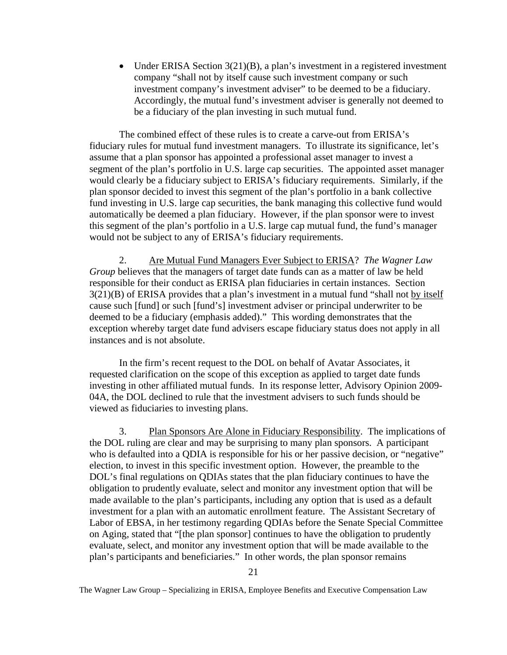• Under ERISA Section 3(21)(B), a plan's investment in a registered investment company "shall not by itself cause such investment company or such investment company's investment adviser" to be deemed to be a fiduciary. Accordingly, the mutual fund's investment adviser is generally not deemed to be a fiduciary of the plan investing in such mutual fund.

The combined effect of these rules is to create a carve-out from ERISA's fiduciary rules for mutual fund investment managers. To illustrate its significance, let's assume that a plan sponsor has appointed a professional asset manager to invest a segment of the plan's portfolio in U.S. large cap securities. The appointed asset manager would clearly be a fiduciary subject to ERISA's fiduciary requirements. Similarly, if the plan sponsor decided to invest this segment of the plan's portfolio in a bank collective fund investing in U.S. large cap securities, the bank managing this collective fund would automatically be deemed a plan fiduciary. However, if the plan sponsor were to invest this segment of the plan's portfolio in a U.S. large cap mutual fund, the fund's manager would not be subject to any of ERISA's fiduciary requirements.

2. Are Mutual Fund Managers Ever Subject to ERISA? *The Wagner Law Group* believes that the managers of target date funds can as a matter of law be held responsible for their conduct as ERISA plan fiduciaries in certain instances. Section 3(21)(B) of ERISA provides that a plan's investment in a mutual fund "shall not by itself cause such [fund] or such [fund's] investment adviser or principal underwriter to be deemed to be a fiduciary (emphasis added)." This wording demonstrates that the exception whereby target date fund advisers escape fiduciary status does not apply in all instances and is not absolute.

In the firm's recent request to the DOL on behalf of Avatar Associates, it requested clarification on the scope of this exception as applied to target date funds investing in other affiliated mutual funds. In its response letter, Advisory Opinion 2009- 04A, the DOL declined to rule that the investment advisers to such funds should be viewed as fiduciaries to investing plans.

3. Plan Sponsors Are Alone in Fiduciary Responsibility. The implications of the DOL ruling are clear and may be surprising to many plan sponsors. A participant who is defaulted into a QDIA is responsible for his or her passive decision, or "negative" election, to invest in this specific investment option. However, the preamble to the DOL's final regulations on QDIAs states that the plan fiduciary continues to have the obligation to prudently evaluate, select and monitor any investment option that will be made available to the plan's participants, including any option that is used as a default investment for a plan with an automatic enrollment feature. The Assistant Secretary of Labor of EBSA, in her testimony regarding QDIAs before the Senate Special Committee on Aging, stated that "[the plan sponsor] continues to have the obligation to prudently evaluate, select, and monitor any investment option that will be made available to the plan's participants and beneficiaries." In other words, the plan sponsor remains

The Wagner Law Group – Specializing in ERISA, Employee Benefits and Executive Compensation Law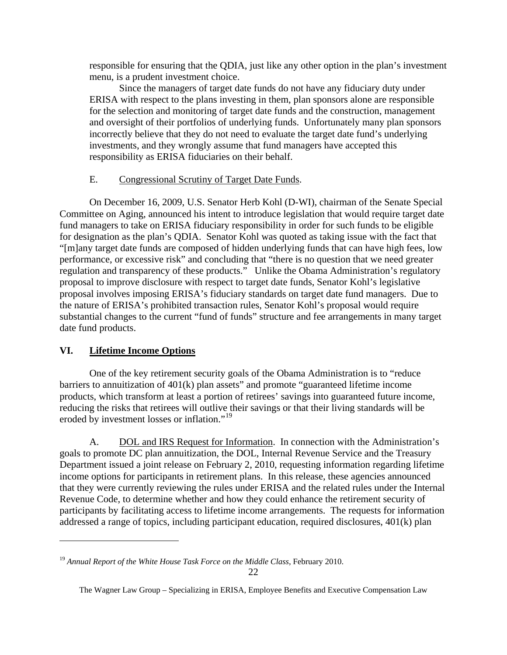<span id="page-23-0"></span>responsible for ensuring that the QDIA, just like any other option in the plan's investment menu, is a prudent investment choice.

Since the managers of target date funds do not have any fiduciary duty under ERISA with respect to the plans investing in them, plan sponsors alone are responsible for the selection and monitoring of target date funds and the construction, management and oversight of their portfolios of underlying funds. Unfortunately many plan sponsors incorrectly believe that they do not need to evaluate the target date fund's underlying investments, and they wrongly assume that fund managers have accepted this responsibility as ERISA fiduciaries on their behalf.

### E. Congressional Scrutiny of Target Date Funds.

On December 16, 2009, U.S. Senator Herb Kohl (D-WI), chairman of the Senate Special Committee on Aging, announced his intent to introduce legislation that would require target date fund managers to take on ERISA fiduciary responsibility in order for such funds to be eligible for designation as the plan's QDIA. Senator Kohl was quoted as taking issue with the fact that "[m]any target date funds are composed of hidden underlying funds that can have high fees, low performance, or excessive risk" and concluding that "there is no question that we need greater regulation and transparency of these products." Unlike the Obama Administration's regulatory proposal to improve disclosure with respect to target date funds, Senator Kohl's legislative proposal involves imposing ERISA's fiduciary standards on target date fund managers. Due to the nature of ERISA's prohibited transaction rules, Senator Kohl's proposal would require substantial changes to the current "fund of funds" structure and fee arrangements in many target date fund products.

### **VI. Lifetime Income Options**

 $\overline{a}$ 

One of the key retirement security goals of the Obama Administration is to "reduce barriers to annuitization of 401(k) plan assets" and promote "guaranteed lifetime income products, which transform at least a portion of retirees' savings into guaranteed future income, reducing the risks that retirees will outlive their savings or that their living standards will be eroded by investment losses or inflation."<sup>[19](#page-23-1)</sup>

A. DOL and IRS Request for Information. In connection with the Administration's goals to promote DC plan annuitization, the DOL, Internal Revenue Service and the Treasury Department issued a joint release on February 2, 2010, requesting information regarding lifetime income options for participants in retirement plans. In this release, these agencies announced that they were currently reviewing the rules under ERISA and the related rules under the Internal Revenue Code, to determine whether and how they could enhance the retirement security of participants by facilitating access to lifetime income arrangements. The requests for information addressed a range of topics, including participant education, required disclosures, 401(k) plan

<span id="page-23-1"></span><sup>&</sup>lt;sup>19</sup> Annual Report of the White House Task Force on the Middle Class, February 2010.

The Wagner Law Group – Specializing in ERISA, Employee Benefits and Executive Compensation Law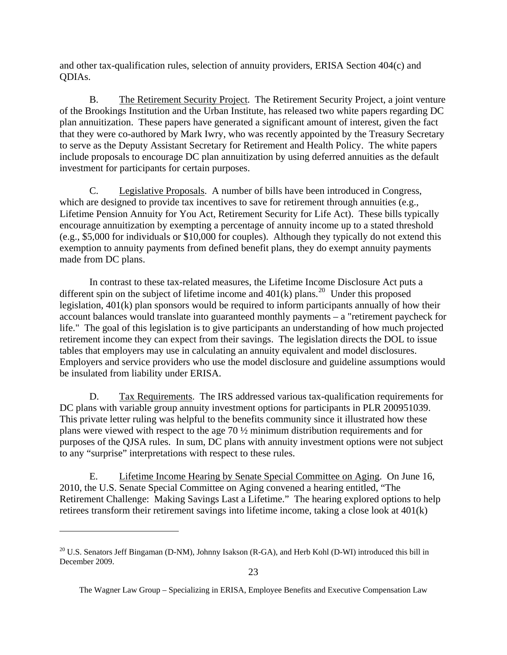and other tax-qualification rules, selection of annuity providers, ERISA Section 404(c) and QDIAs.

B. The Retirement Security Project. The Retirement Security Project, a joint venture of the Brookings Institution and the Urban Institute, has released two white papers regarding DC plan annuitization. These papers have generated a significant amount of interest, given the fact that they were co-authored by Mark Iwry, who was recently appointed by the Treasury Secretary to serve as the Deputy Assistant Secretary for Retirement and Health Policy. The white papers include proposals to encourage DC plan annuitization by using deferred annuities as the default investment for participants for certain purposes.

C. Legislative Proposals. A number of bills have been introduced in Congress, which are designed to provide tax incentives to save for retirement through annuities (e.g., Lifetime Pension Annuity for You Act, Retirement Security for Life Act). These bills typically encourage annuitization by exempting a percentage of annuity income up to a stated threshold (e.g., \$5,000 for individuals or \$10,000 for couples). Although they typically do not extend this exemption to annuity payments from defined benefit plans, they do exempt annuity payments made from DC plans.

In contrast to these tax-related measures, the Lifetime Income Disclosure Act puts a different spin on the subject of lifetime income and  $401(k)$  plans.<sup>[20](#page-24-0)</sup> Under this proposed legislation, 401(k) plan sponsors would be required to inform participants annually of how their account balances would translate into guaranteed monthly payments – a "retirement paycheck for life." The goal of this legislation is to give participants an understanding of how much projected retirement income they can expect from their savings. The legislation directs the DOL to issue tables that employers may use in calculating an annuity equivalent and model disclosures. Employers and service providers who use the model disclosure and guideline assumptions would be insulated from liability under ERISA.

D. Tax Requirements. The IRS addressed various tax-qualification requirements for DC plans with variable group annuity investment options for participants in PLR 200951039. This private letter ruling was helpful to the benefits community since it illustrated how these plans were viewed with respect to the age 70 ½ minimum distribution requirements and for purposes of the QJSA rules. In sum, DC plans with annuity investment options were not subject to any "surprise" interpretations with respect to these rules.

E. Lifetime Income Hearing by Senate Special Committee on Aging. On June 16, 2010, the U.S. Senate Special Committee on Aging convened a hearing entitled, "The Retirement Challenge: Making Savings Last a Lifetime." The hearing explored options to help retirees transform their retirement savings into lifetime income, taking a close look at 401(k)

<span id="page-24-0"></span><sup>&</sup>lt;sup>20</sup> U.S. Senators Jeff Bingaman (D-NM), Johnny Isakson (R-GA), and Herb Kohl (D-WI) introduced this bill in December 2009.

The Wagner Law Group – Specializing in ERISA, Employee Benefits and Executive Compensation Law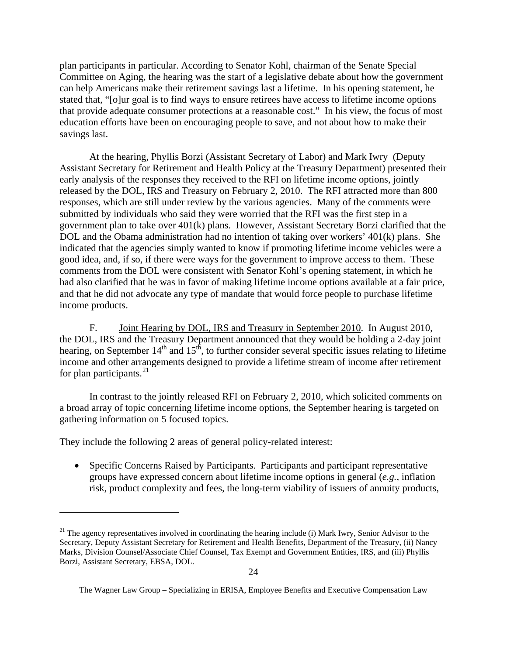plan participants in particular. According to Senator Kohl, chairman of the Senate Special Committee on Aging, the hearing was the start of a legislative debate about how the government can help Americans make their retirement savings last a lifetime. In his opening statement, he stated that, "[o]ur goal is to find ways to ensure retirees have access to lifetime income options that provide adequate consumer protections at a reasonable cost." In his view, the focus of most education efforts have been on encouraging people to save, and not about how to make their savings last.

At the hearing, Phyllis Borzi (Assistant Secretary of Labor) and Mark Iwry (Deputy Assistant Secretary for Retirement and Health Policy at the Treasury Department) presented their early analysis of the responses they received to the RFI on lifetime income options, jointly released by the DOL, IRS and Treasury on February 2, 2010. The RFI attracted more than 800 responses, which are still under review by the various agencies. Many of the comments were submitted by individuals who said they were worried that the RFI was the first step in a government plan to take over 401(k) plans. However, Assistant Secretary Borzi clarified that the DOL and the Obama administration had no intention of taking over workers' 401(k) plans. She indicated that the agencies simply wanted to know if promoting lifetime income vehicles were a good idea, and, if so, if there were ways for the government to improve access to them. These comments from the DOL were consistent with Senator Kohl's opening statement, in which he had also clarified that he was in favor of making lifetime income options available at a fair price, and that he did not advocate any type of mandate that would force people to purchase lifetime income products.

F. Joint Hearing by DOL, IRS and Treasury in September 2010. In August 2010, the DOL, IRS and the Treasury Department announced that they would be holding a 2-day joint hearing, on September  $14<sup>th</sup>$  and  $15<sup>th</sup>$ , to further consider several specific issues relating to lifetime income and other arrangements designed to provide a lifetime stream of income after retirement for plan participants.  $2<sup>1</sup>$ 

In contrast to the jointly released RFI on February 2, 2010, which solicited comments on a broad array of topic concerning lifetime income options, the September hearing is targeted on gathering information on 5 focused topics.

They include the following 2 areas of general policy-related interest:

 $\overline{a}$ 

• Specific Concerns Raised by Participants. Participants and participant representative groups have expressed concern about lifetime income options in general (*e.g.*, inflation risk, product complexity and fees, the long-term viability of issuers of annuity products,

<span id="page-25-0"></span> $21$  The agency representatives involved in coordinating the hearing include (i) Mark Iwry, Senior Advisor to the Secretary, Deputy Assistant Secretary for Retirement and Health Benefits, Department of the Treasury, (ii) Nancy Marks, Division Counsel/Associate Chief Counsel, Tax Exempt and Government Entities, IRS, and (iii) Phyllis Borzi, Assistant Secretary, EBSA, DOL.

The Wagner Law Group – Specializing in ERISA, Employee Benefits and Executive Compensation Law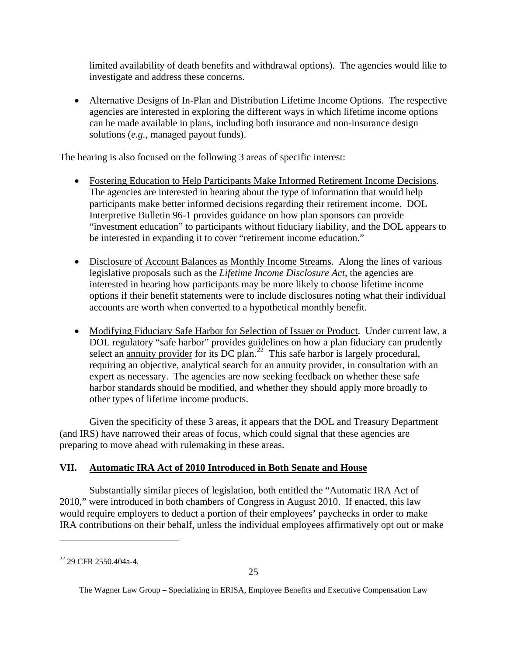<span id="page-26-0"></span>limited availability of death benefits and withdrawal options). The agencies would like to investigate and address these concerns.

• Alternative Designs of In-Plan and Distribution Lifetime Income Options. The respective agencies are interested in exploring the different ways in which lifetime income options can be made available in plans, including both insurance and non-insurance design solutions (*e.g.*, managed payout funds).

The hearing is also focused on the following 3 areas of specific interest:

- Fostering Education to Help Participants Make Informed Retirement Income Decisions. The agencies are interested in hearing about the type of information that would help participants make better informed decisions regarding their retirement income. DOL Interpretive Bulletin 96-1 provides guidance on how plan sponsors can provide "investment education" to participants without fiduciary liability, and the DOL appears to be interested in expanding it to cover "retirement income education."
- Disclosure of Account Balances as Monthly Income Streams. Along the lines of various legislative proposals such as the *Lifetime Income Disclosure Act*, the agencies are interested in hearing how participants may be more likely to choose lifetime income options if their benefit statements were to include disclosures noting what their individual accounts are worth when converted to a hypothetical monthly benefit.
- Modifying Fiduciary Safe Harbor for Selection of Issuer or Product. Under current law, a DOL regulatory "safe harbor" provides guidelines on how a plan fiduciary can prudently select an <u>annuity provider</u> for its DC plan.<sup>[22](#page-26-1)</sup> This safe harbor is largely procedural, requiring an objective, analytical search for an annuity provider, in consultation with an expert as necessary. The agencies are now seeking feedback on whether these safe harbor standards should be modified, and whether they should apply more broadly to other types of lifetime income products.

Given the specificity of these 3 areas, it appears that the DOL and Treasury Department (and IRS) have narrowed their areas of focus, which could signal that these agencies are preparing to move ahead with rulemaking in these areas.

## **VII. Automatic IRA Act of 2010 Introduced in Both Senate and House**

 Substantially similar pieces of legislation, both entitled the "Automatic IRA Act of 2010," were introduced in both chambers of Congress in August 2010. If enacted, this law would require employers to deduct a portion of their employees' paychecks in order to make IRA contributions on their behalf, unless the individual employees affirmatively opt out or make

<span id="page-26-1"></span> $22$  29 CFR 2550.404a-4.

The Wagner Law Group – Specializing in ERISA, Employee Benefits and Executive Compensation Law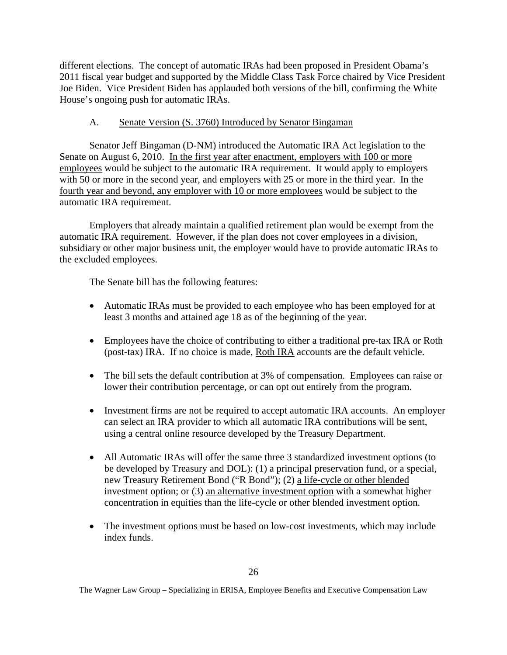different elections. The concept of automatic IRAs had been proposed in President Obama's 2011 fiscal year budget and supported by the Middle Class Task Force chaired by Vice President Joe Biden. Vice President Biden has applauded both versions of the bill, confirming the White House's ongoing push for automatic IRAs.

### A. Senate Version (S. 3760) Introduced by Senator Bingaman

Senator Jeff Bingaman (D-NM) introduced the Automatic IRA Act legislation to the Senate on August 6, 2010. In the first year after enactment, employers with 100 or more employees would be subject to the automatic IRA requirement. It would apply to employers with 50 or more in the second year, and employers with 25 or more in the third year. In the fourth year and beyond, any employer with 10 or more employees would be subject to the automatic IRA requirement.

Employers that already maintain a qualified retirement plan would be exempt from the automatic IRA requirement. However, if the plan does not cover employees in a division, subsidiary or other major business unit, the employer would have to provide automatic IRAs to the excluded employees.

The Senate bill has the following features:

- Automatic IRAs must be provided to each employee who has been employed for at least 3 months and attained age 18 as of the beginning of the year.
- Employees have the choice of contributing to either a traditional pre-tax IRA or Roth (post-tax) IRA. If no choice is made, Roth IRA accounts are the default vehicle.
- The bill sets the default contribution at 3% of compensation. Employees can raise or lower their contribution percentage, or can opt out entirely from the program.
- Investment firms are not be required to accept automatic IRA accounts. An employer can select an IRA provider to which all automatic IRA contributions will be sent, using a central online resource developed by the Treasury Department.
- All Automatic IRAs will offer the same three 3 standardized investment options (to be developed by Treasury and DOL): (1) a principal preservation fund, or a special, new Treasury Retirement Bond ("R Bond"); (2) a life-cycle or other blended investment option; or (3) an alternative investment option with a somewhat higher concentration in equities than the life-cycle or other blended investment option.
- The investment options must be based on low-cost investments, which may include index funds.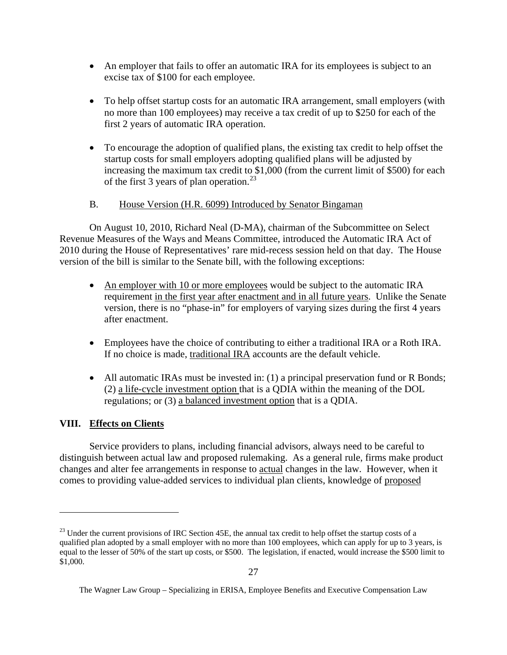- <span id="page-28-0"></span>• An employer that fails to offer an automatic IRA for its employees is subject to an excise tax of \$100 for each employee.
- To help offset startup costs for an automatic IRA arrangement, small employers (with no more than 100 employees) may receive a tax credit of up to \$250 for each of the first 2 years of automatic IRA operation.
- To encourage the adoption of qualified plans, the existing tax credit to help offset the startup costs for small employers adopting qualified plans will be adjusted by increasing the maximum tax credit to \$1,000 (from the current limit of \$500) for each of the first 3 years of plan operation.<sup>[23](#page-28-1)</sup>

### B. House Version (H.R. 6099) Introduced by Senator Bingaman

On August 10, 2010, Richard Neal (D-MA), chairman of the Subcommittee on Select Revenue Measures of the Ways and Means Committee, introduced the Automatic IRA Act of 2010 during the House of Representatives' rare mid-recess session held on that day. The House version of the bill is similar to the Senate bill, with the following exceptions:

- An employer with 10 or more employees would be subject to the automatic IRA requirement in the first year after enactment and in all future years. Unlike the Senate version, there is no "phase-in" for employers of varying sizes during the first 4 years after enactment.
- Employees have the choice of contributing to either a traditional IRA or a Roth IRA. If no choice is made, traditional IRA accounts are the default vehicle.
- All automatic IRAs must be invested in: (1) a principal preservation fund or R Bonds; (2) a life-cycle investment option that is a QDIA within the meaning of the DOL regulations; or (3) a balanced investment option that is a QDIA.

## **VIII. Effects on Clients**

 $\overline{a}$ 

 Service providers to plans, including financial advisors, always need to be careful to distinguish between actual law and proposed rulemaking. As a general rule, firms make product changes and alter fee arrangements in response to actual changes in the law. However, when it comes to providing value-added services to individual plan clients, knowledge of proposed

<span id="page-28-1"></span> $^{23}$  Under the current provisions of IRC Section 45E, the annual tax credit to help offset the startup costs of a qualified plan adopted by a small employer with no more than 100 employees, which can apply for up to 3 years, is equal to the lesser of 50% of the start up costs, or \$500. The legislation, if enacted, would increase the \$500 limit to \$1,000.

The Wagner Law Group – Specializing in ERISA, Employee Benefits and Executive Compensation Law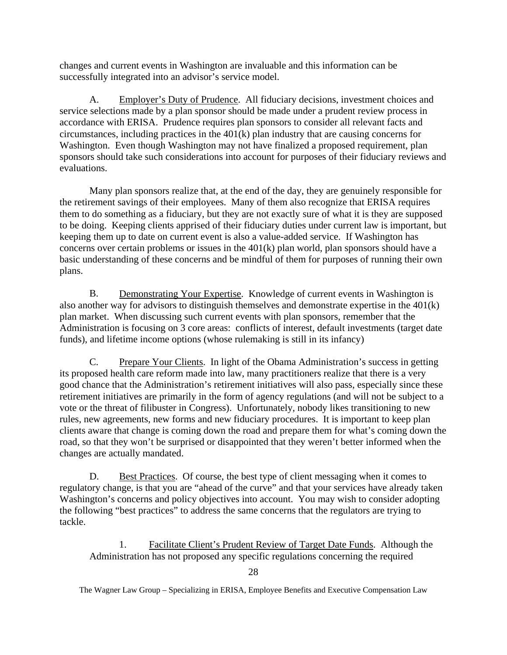changes and current events in Washington are invaluable and this information can be successfully integrated into an advisor's service model.

A. Employer's Duty of Prudence. All fiduciary decisions, investment choices and service selections made by a plan sponsor should be made under a prudent review process in accordance with ERISA. Prudence requires plan sponsors to consider all relevant facts and circumstances, including practices in the 401(k) plan industry that are causing concerns for Washington. Even though Washington may not have finalized a proposed requirement, plan sponsors should take such considerations into account for purposes of their fiduciary reviews and evaluations.

Many plan sponsors realize that, at the end of the day, they are genuinely responsible for the retirement savings of their employees. Many of them also recognize that ERISA requires them to do something as a fiduciary, but they are not exactly sure of what it is they are supposed to be doing. Keeping clients apprised of their fiduciary duties under current law is important, but keeping them up to date on current event is also a value-added service. If Washington has concerns over certain problems or issues in the 401(k) plan world, plan sponsors should have a basic understanding of these concerns and be mindful of them for purposes of running their own plans.

 B. Demonstrating Your Expertise. Knowledge of current events in Washington is also another way for advisors to distinguish themselves and demonstrate expertise in the 401(k) plan market. When discussing such current events with plan sponsors, remember that the Administration is focusing on 3 core areas: conflicts of interest, default investments (target date funds), and lifetime income options (whose rulemaking is still in its infancy)

 C. Prepare Your Clients. In light of the Obama Administration's success in getting its proposed health care reform made into law, many practitioners realize that there is a very good chance that the Administration's retirement initiatives will also pass, especially since these retirement initiatives are primarily in the form of agency regulations (and will not be subject to a vote or the threat of filibuster in Congress). Unfortunately, nobody likes transitioning to new rules, new agreements, new forms and new fiduciary procedures. It is important to keep plan clients aware that change is coming down the road and prepare them for what's coming down the road, so that they won't be surprised or disappointed that they weren't better informed when the changes are actually mandated.

D. Best Practices. Of course, the best type of client messaging when it comes to regulatory change, is that you are "ahead of the curve" and that your services have already taken Washington's concerns and policy objectives into account. You may wish to consider adopting the following "best practices" to address the same concerns that the regulators are trying to tackle.

1. Facilitate Client's Prudent Review of Target Date Funds. Although the Administration has not proposed any specific regulations concerning the required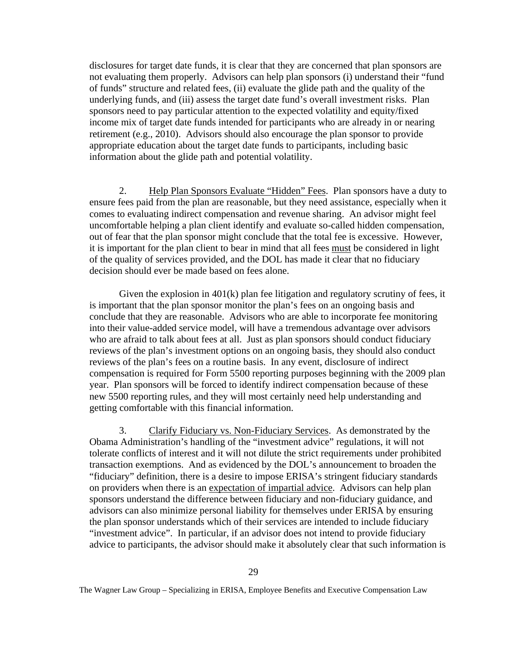disclosures for target date funds, it is clear that they are concerned that plan sponsors are not evaluating them properly. Advisors can help plan sponsors (i) understand their "fund of funds" structure and related fees, (ii) evaluate the glide path and the quality of the underlying funds, and (iii) assess the target date fund's overall investment risks. Plan sponsors need to pay particular attention to the expected volatility and equity/fixed income mix of target date funds intended for participants who are already in or nearing retirement (e.g., 2010). Advisors should also encourage the plan sponsor to provide appropriate education about the target date funds to participants, including basic information about the glide path and potential volatility.

2. Help Plan Sponsors Evaluate "Hidden" Fees. Plan sponsors have a duty to ensure fees paid from the plan are reasonable, but they need assistance, especially when it comes to evaluating indirect compensation and revenue sharing. An advisor might feel uncomfortable helping a plan client identify and evaluate so-called hidden compensation, out of fear that the plan sponsor might conclude that the total fee is excessive. However, it is important for the plan client to bear in mind that all fees must be considered in light of the quality of services provided, and the DOL has made it clear that no fiduciary decision should ever be made based on fees alone.

Given the explosion in  $401(k)$  plan fee litigation and regulatory scrutiny of fees, it is important that the plan sponsor monitor the plan's fees on an ongoing basis and conclude that they are reasonable. Advisors who are able to incorporate fee monitoring into their value-added service model, will have a tremendous advantage over advisors who are afraid to talk about fees at all. Just as plan sponsors should conduct fiduciary reviews of the plan's investment options on an ongoing basis, they should also conduct reviews of the plan's fees on a routine basis. In any event, disclosure of indirect compensation is required for Form 5500 reporting purposes beginning with the 2009 plan year. Plan sponsors will be forced to identify indirect compensation because of these new 5500 reporting rules, and they will most certainly need help understanding and getting comfortable with this financial information.

3. Clarify Fiduciary vs. Non-Fiduciary Services. As demonstrated by the Obama Administration's handling of the "investment advice" regulations, it will not tolerate conflicts of interest and it will not dilute the strict requirements under prohibited transaction exemptions. And as evidenced by the DOL's announcement to broaden the "fiduciary" definition, there is a desire to impose ERISA's stringent fiduciary standards on providers when there is an expectation of impartial advice. Advisors can help plan sponsors understand the difference between fiduciary and non-fiduciary guidance, and advisors can also minimize personal liability for themselves under ERISA by ensuring the plan sponsor understands which of their services are intended to include fiduciary "investment advice". In particular, if an advisor does not intend to provide fiduciary advice to participants, the advisor should make it absolutely clear that such information is

The Wagner Law Group – Specializing in ERISA, Employee Benefits and Executive Compensation Law